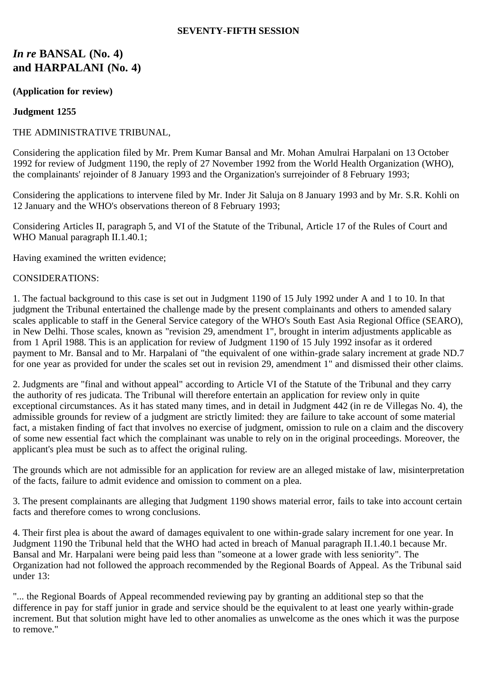## **SEVENTY-FIFTH SESSION**

# *In re* **BANSAL (No. 4) and HARPALANI (No. 4)**

## **(Application for review)**

## **Judgment 1255**

## THE ADMINISTRATIVE TRIBUNAL,

Considering the application filed by Mr. Prem Kumar Bansal and Mr. Mohan Amulrai Harpalani on 13 October 1992 for review of Judgment 1190, the reply of 27 November 1992 from the World Health Organization (WHO), the complainants' rejoinder of 8 January 1993 and the Organization's surrejoinder of 8 February 1993;

Considering the applications to intervene filed by Mr. Inder Jit Saluja on 8 January 1993 and by Mr. S.R. Kohli on 12 January and the WHO's observations thereon of 8 February 1993;

Considering Articles II, paragraph 5, and VI of the Statute of the Tribunal, Article 17 of the Rules of Court and WHO Manual paragraph II.1.40.1;

Having examined the written evidence;

### CONSIDERATIONS:

1. The factual background to this case is set out in Judgment 1190 of 15 July 1992 under A and 1 to 10. In that judgment the Tribunal entertained the challenge made by the present complainants and others to amended salary scales applicable to staff in the General Service category of the WHO's South East Asia Regional Office (SEARO), in New Delhi. Those scales, known as "revision 29, amendment 1", brought in interim adjustments applicable as from 1 April 1988. This is an application for review of Judgment 1190 of 15 July 1992 insofar as it ordered payment to Mr. Bansal and to Mr. Harpalani of "the equivalent of one within-grade salary increment at grade ND.7 for one year as provided for under the scales set out in revision 29, amendment 1" and dismissed their other claims.

2. Judgments are "final and without appeal" according to Article VI of the Statute of the Tribunal and they carry the authority of res judicata. The Tribunal will therefore entertain an application for review only in quite exceptional circumstances. As it has stated many times, and in detail in Judgment 442 (in re de Villegas No. 4), the admissible grounds for review of a judgment are strictly limited: they are failure to take account of some material fact, a mistaken finding of fact that involves no exercise of judgment, omission to rule on a claim and the discovery of some new essential fact which the complainant was unable to rely on in the original proceedings. Moreover, the applicant's plea must be such as to affect the original ruling.

The grounds which are not admissible for an application for review are an alleged mistake of law, misinterpretation of the facts, failure to admit evidence and omission to comment on a plea.

3. The present complainants are alleging that Judgment 1190 shows material error, fails to take into account certain facts and therefore comes to wrong conclusions.

4. Their first plea is about the award of damages equivalent to one within-grade salary increment for one year. In Judgment 1190 the Tribunal held that the WHO had acted in breach of Manual paragraph II.1.40.1 because Mr. Bansal and Mr. Harpalani were being paid less than "someone at a lower grade with less seniority". The Organization had not followed the approach recommended by the Regional Boards of Appeal. As the Tribunal said under 13:

"... the Regional Boards of Appeal recommended reviewing pay by granting an additional step so that the difference in pay for staff junior in grade and service should be the equivalent to at least one yearly within-grade increment. But that solution might have led to other anomalies as unwelcome as the ones which it was the purpose to remove."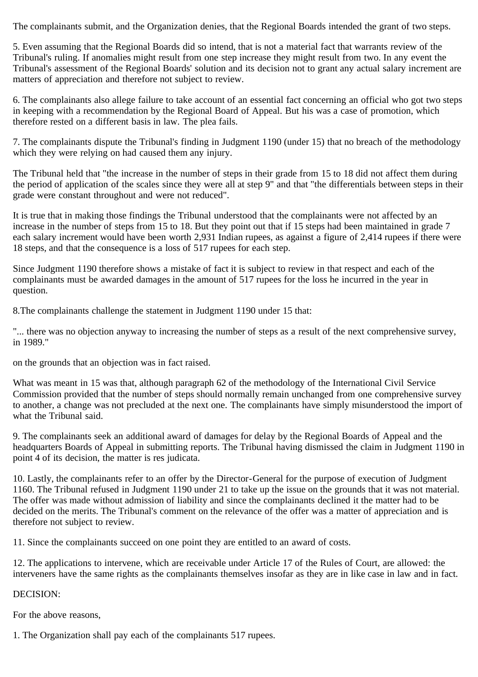The complainants submit, and the Organization denies, that the Regional Boards intended the grant of two steps.

5. Even assuming that the Regional Boards did so intend, that is not a material fact that warrants review of the Tribunal's ruling. If anomalies might result from one step increase they might result from two. In any event the Tribunal's assessment of the Regional Boards' solution and its decision not to grant any actual salary increment are matters of appreciation and therefore not subject to review.

6. The complainants also allege failure to take account of an essential fact concerning an official who got two steps in keeping with a recommendation by the Regional Board of Appeal. But his was a case of promotion, which therefore rested on a different basis in law. The plea fails.

7. The complainants dispute the Tribunal's finding in Judgment 1190 (under 15) that no breach of the methodology which they were relying on had caused them any injury.

The Tribunal held that "the increase in the number of steps in their grade from 15 to 18 did not affect them during the period of application of the scales since they were all at step 9" and that "the differentials between steps in their grade were constant throughout and were not reduced".

It is true that in making those findings the Tribunal understood that the complainants were not affected by an increase in the number of steps from 15 to 18. But they point out that if 15 steps had been maintained in grade 7 each salary increment would have been worth 2,931 Indian rupees, as against a figure of 2,414 rupees if there were 18 steps, and that the consequence is a loss of 517 rupees for each step.

Since Judgment 1190 therefore shows a mistake of fact it is subject to review in that respect and each of the complainants must be awarded damages in the amount of 517 rupees for the loss he incurred in the year in question.

8.The complainants challenge the statement in Judgment 1190 under 15 that:

"... there was no objection anyway to increasing the number of steps as a result of the next comprehensive survey, in 1989."

on the grounds that an objection was in fact raised.

What was meant in 15 was that, although paragraph 62 of the methodology of the International Civil Service Commission provided that the number of steps should normally remain unchanged from one comprehensive survey to another, a change was not precluded at the next one. The complainants have simply misunderstood the import of what the Tribunal said.

9. The complainants seek an additional award of damages for delay by the Regional Boards of Appeal and the headquarters Boards of Appeal in submitting reports. The Tribunal having dismissed the claim in Judgment 1190 in point 4 of its decision, the matter is res judicata.

10. Lastly, the complainants refer to an offer by the Director-General for the purpose of execution of Judgment 1160. The Tribunal refused in Judgment 1190 under 21 to take up the issue on the grounds that it was not material. The offer was made without admission of liability and since the complainants declined it the matter had to be decided on the merits. The Tribunal's comment on the relevance of the offer was a matter of appreciation and is therefore not subject to review.

11. Since the complainants succeed on one point they are entitled to an award of costs.

12. The applications to intervene, which are receivable under Article 17 of the Rules of Court, are allowed: the interveners have the same rights as the complainants themselves insofar as they are in like case in law and in fact.

DECISION:

For the above reasons,

1. The Organization shall pay each of the complainants 517 rupees.